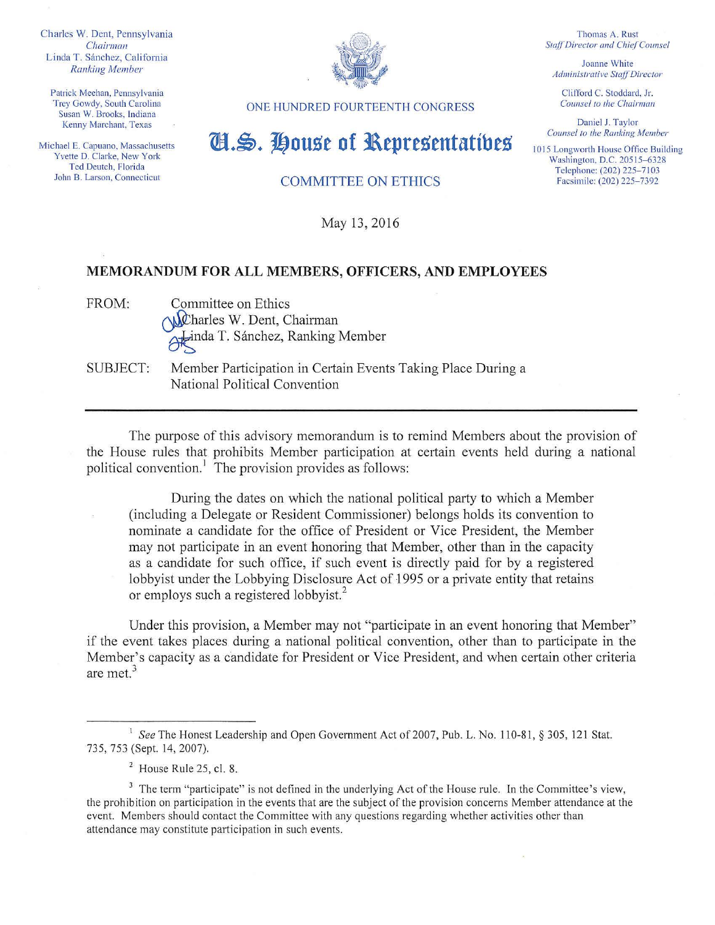Charles W. Dent, Pennsylvania *Chairman*  Linda T. Sánchez, California *Ranking Member* 

Patrick Meehan, Pennsylvania Trey Gowdy, South Carolina Susan W. Brooks, Indiana Kenny Marchant, Texas

Michael E. Capuano, Massachusetts Yvette D. Clarke, New York Ted Deutch, Florida John B. Larson, Connecticut



Thomas A. Rust **Staff Director and Chief Counsel** 

Joanne White *Administrative StafTDirector* 

Clifford C. Stoddard, Jr. *Counsel* to *the Chairman* 

Daniel J. Taylor *Counsel to the Ranking Member* 

I 015 Longworth House Office Building Washington, D.C. 20515-6328 Telephone: (202) 225-7103 Facsimile: (202) 225-7392

ONE HUNDRED FOURTEENTH CONGRESS

## ml.~. **j!}ou.s'e of l\epre.s'entatitlt.s'**

COMMITTEE ON ETHICS

May 13, 2016

## **MEMORANDUM FOR ALL MEMBERS, OFFICERS, AND EMPLOYEES**

FROM: Committee on Ethics  $\bigwedge$  Chairman Atinda T. Sánchez, Ranking Member

SUBJECT: Member Participation in Certain Events Taking Place During a National Political Convention

The purpose of this advisory memorandum is to remind Members about the provision of the House rules that prohibits Member participation at certain events held during a national political convention.<sup>1</sup> The provision provides as follows:

During the dates on which the national political party to which a Member (including a Delegate or Resident Commissioner) belongs holds its convention to nominate a candidate for the office of President or Vice President, the Member may not participate in an event honoring that Member, other than in the capacity as a candidate for such office, if such event is directly paid for by a registered lobbyist under the Lobbying Disclosure Act of 1995 or a private entity that retains or employs such a registered lobbyist.<sup>2</sup>

Under this provision, a Member may not "participate in an event honoring that Member" if the event takes places during a national political convention, other than to participate in the Member's capacity as a candidate for President or Vice President, and when certain other criteria are met.<sup>3</sup>

<sup>2</sup> House Rule 25, cl. 8.

<sup>&</sup>lt;sup>1</sup> See The Honest Leadership and Open Government Act of 2007, Pub. L. No. 110-81, § 305, 121 Stat. 735, 753 (Sept. 14, 2007).

<sup>&</sup>lt;sup>3</sup> The term "participate" is not defined in the underlying Act of the House rule. In the Committee's view, the prohibition on participation in the events that are the subject of the provision concerns Member attendance at the event. Members should contact the Committee with any questions regarding whether activities other than attendance may constitute participation in such events.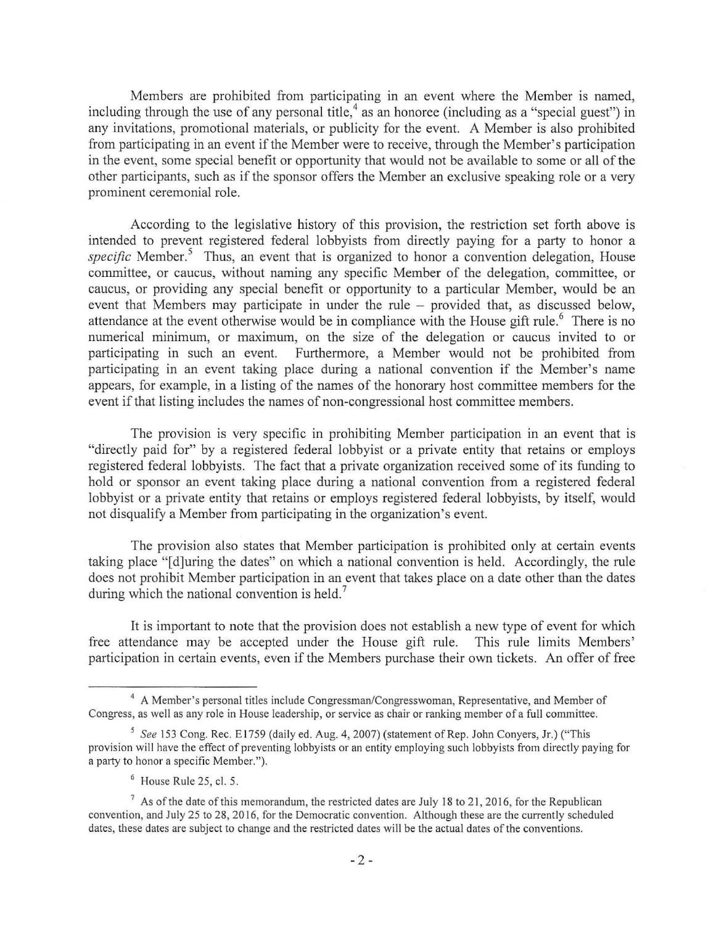Members are prohibited from participating in an event where the Member is named, including through the use of any personal title,<sup>4</sup> as an honoree (including as a "special guest") in any invitations, promotional materials, or publicity for the event. A Member is also prohibited from participating in an event if the Member were to receive, through the Member's participation in the event, some special benefit or opportunity that would not be available to some or all of the other paiiicipants, such as if the sponsor offers the Member an exclusive speaking role or a very prominent ceremonial role.

According to the legislative history of this provision, the restriction set forth above is intended to prevent registered federal lobbyists from directly paying for a party to honor a *specific* Member.<sup>5</sup> Thus, an event that is organized to honor a convention delegation. House committee, or caucus, without naming any specific Member of the delegation, committee, or caucus, or providing any special benefit or opportunity to a particular Member, would be an event that Members may participate in under the rule – provided that, as discussed below, attendance at the event otherwise would be in compliance with the House gift rule.<sup>6</sup> There is no numerical minimum, or maximum, on the size of the delegation or caucus invited to or participating in such an event. Furthermore, a Member would not be prohibited from participating in an event taking place during a national convention if the Member's name appears, for example, in a listing of the names of the honorary host committee members for the event if that listing includes the names of non-congressional host committee members.

The provision is very specific in prohibiting Member participation in an event that is "directly paid for" by a registered federal lobbyist or a private entity that retains or employs registered federal lobbyists. The fact that a private organization received some of its funding to hold or sponsor an event taking place during a national convention from a registered federal lobbyist or a private entity that retains or employs registered federal lobbyists, by itself, would not disqualify a Member from participating in the organization's event.

The provision also states that Member participation is prohibited only at certain events taking place "[d]uring the dates" on which a national convention is held. Accordingly, the rule does not prohibit Member participation in an event that takes place on a date other than the dates during which the national convention is held.<sup>7</sup>

It is important to note that the provision does not establish a new type of event for which free attendance may be accepted under the House gift rule. This rule limits Members' participation in certain events, even if the Members purchase their own tickets. An offer of free

<sup>&</sup>lt;sup>4</sup> A Member's personal titles include Congressman/Congresswoman, Representative, and Member of Congress, as well as any role in House leadership, or service as chair or ranking member of a full committee.

<sup>&</sup>lt;sup>5</sup> See 153 Cong. Rec. E1759 (daily ed. Aug. 4, 2007) (statement of Rep. John Conyers, Jr.) ("This provision will have the effect of preventing lobbyists or an entity employing such lobbyists from directly paying for a party to honor a specific Member.").

 $6$  House Rule 25, cl. 5.

 $<sup>7</sup>$  As of the date of this memorandum, the restricted dates are July 18 to 21, 2016, for the Republican</sup> convention, and July 25 to 28, 20 16, for the Democratic convention. Although these are the currently scheduled dates, these dates are subject to change and the restricted dates will be the actual dates of the conventions.